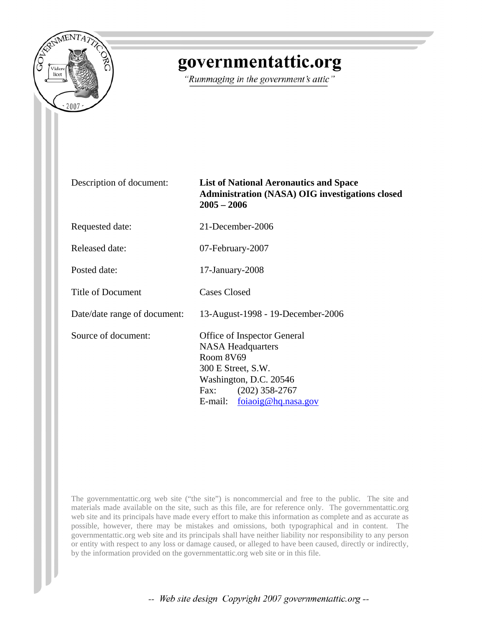

## governmentattic.org

"Rummaging in the government's attic"

Description of document: **List of National Aeronautics and Space Administration (NASA) OIG investigations closed 2005 – 2006**

Requested date: 21-December-2006

Released date: 07-February-2007

Posted date: 17-January-2008

Title of Document Cases Closed

Date/date range of document: 13-August-1998 - 19-December-2006

Source of document: Office of Inspector General NASA Headquarters Room 8V69 300 E Street, S.W. Washington, D.C. 20546 Fax: (202) 358-2767 E-mail: [foiaoig@hq.nasa.gov](mailto:foiaoig@hq.nasa.gov?subject=OIG%20web%20site)

The governmentattic.org web site ("the site") is noncommercial and free to the public. The site and materials made available on the site, such as this file, are for reference only. The governmentattic.org web site and its principals have made every effort to make this information as complete and as accurate as possible, however, there may be mistakes and omissions, both typographical and in content. The governmentattic.org web site and its principals shall have neither liability nor responsibility to any person or entity with respect to any loss or damage caused, or alleged to have been caused, directly or indirectly, by the information provided on the governmentattic.org web site or in this file.

-- Web site design Copyright 2007 governmentattic.org --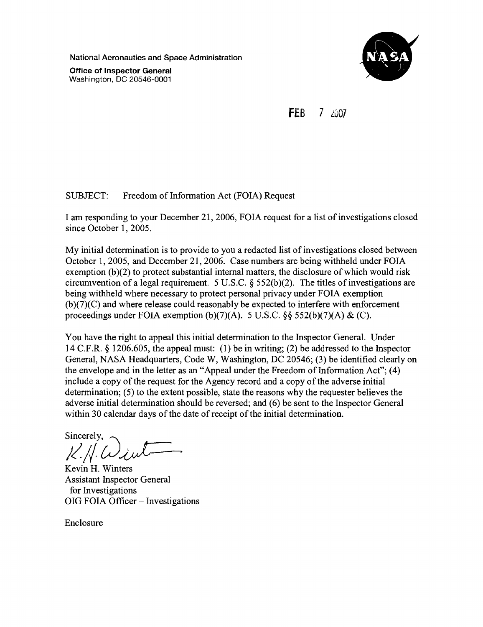National Aeronautics and Space Administration

**Office of Inspector General** Washington, DC 20546-0001



**FER**  $7 - 7007$ 

**SUBJECT:** Freedom of Information Act (FOIA) Request

I am responding to your December 21, 2006, FOIA request for a list of investigations closed since October 1, 2005.

My initial determination is to provide to you a redacted list of investigations closed between October 1, 2005, and December 21, 2006. Case numbers are being withheld under FOIA exemption  $(b)(2)$  to protect substantial internal matters, the disclosure of which would risk circumvention of a legal requirement. 5 U.S.C.  $\S$  552(b)(2). The titles of investigations are being withheld where necessary to protect personal privacy under FOIA exemption  $(b)(7)(C)$  and where release could reasonably be expected to interfere with enforcement proceedings under FOIA exemption (b)(7)(A). 5 U.S.C.  $\S$  552(b)(7)(A) & (C).

You have the right to appeal this initial determination to the Inspector General. Under 14 C.F.R.  $\S$  1206.605, the appeal must: (1) be in writing; (2) be addressed to the Inspector General, NASA Headquarters, Code W, Washington, DC 20546; (3) be identified clearly on the envelope and in the letter as an "Appeal under the Freedom of Information Act"; (4) include a copy of the request for the Agency record and a copy of the adverse initial determination; (5) to the extent possible, state the reasons why the requester believes the adverse initial determination should be reversed; and (6) be sent to the Inspector General within 30 calendar days of the date of receipt of the initial determination.

Sincerely,

Kevin H. Winters **Assistant Inspector General** for Investigations OIG FOIA Officer - Investigations

Enclosure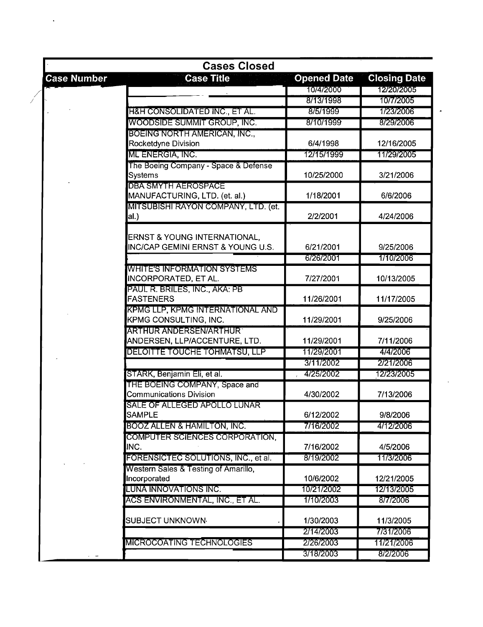|                    | <b>Cases Closed</b>                          |                    |                     |
|--------------------|----------------------------------------------|--------------------|---------------------|
| <b>Case Number</b> | <b>Case Title</b>                            | <b>Opened Date</b> | <b>Closing Date</b> |
|                    |                                              | 10/4/2000          | 12/20/2005          |
|                    |                                              | 8/13/1998          | 10/7/2005           |
|                    | H&H CONSOLIDATED INC., ET AL.                | 8/5/1999           | 1/23/2006           |
|                    | WOODSIDE SUMMIT GROUP, INC.                  | 8/10/1999          | 8/29/2006           |
|                    | <b>BOEING NORTH AMERICAN, INC.,</b>          |                    |                     |
|                    | Rocketdyne Division                          | 6/4/1998           | 12/16/2005          |
|                    | ML ENERGIA, INC.                             | 12/15/1999         | 11/29/2005          |
|                    | The Boeing Company - Space & Defense         |                    |                     |
|                    | Systems                                      | 10/25/2000         | 3/21/2006           |
|                    | <b>DBA SMYTH AEROSPACE</b>                   |                    |                     |
|                    | MANUFACTURING, LTD. (et. al.)                | 1/18/2001          | 6/6/2006            |
|                    | MITSUBISHI RAYON COMPANY, LTD. (et.          |                    |                     |
|                    | al.)                                         | 2/2/2001           | 4/24/2006           |
|                    | ERNST & YOUNG INTERNATIONAL,                 |                    |                     |
|                    | <b>INC/CAP GEMINI ERNST &amp; YOUNG U.S.</b> | 6/21/2001          | 9/25/2006           |
|                    |                                              | 6/26/2001          | 1/10/2006           |
|                    | <b>WHITE'S INFORMATION SYSTEMS</b>           |                    |                     |
|                    | INCORPORATED, ET AL.                         | 7/27/2001          | 10/13/2005          |
|                    | PAUL R. BRILES, INC., AKA: PB                |                    |                     |
|                    | <b>FASTENERS</b>                             | 11/26/2001         | 11/17/2005          |
|                    | KPMG LLP, KPMG INTERNATIONAL AND             |                    |                     |
|                    | <b>KPMG CONSULTING, INC.</b>                 | 11/29/2001         | 9/25/2006           |
|                    | ARTHUR ANDERSEN/ARTHUR                       |                    |                     |
|                    | ANDERSEN, LLP/ACCENTURE, LTD.                | 11/29/2001         | 7/11/2006           |
|                    | DELOITTE TOUCHE TOHMATSU, LLP                | 11/29/2001         | 4/4/2006            |
|                    |                                              | 3/11/2002          | 2/21/2006           |
|                    | STARK, Benjamin Eli, et al.                  | 4/25/2002          | 12/23/2005          |
|                    | THE BOEING COMPANY, Space and                |                    |                     |
|                    | <b>Communications Division</b>               | 4/30/2002          | 7/13/2006           |
|                    | SALE OF ALLEGED APOLLO LUNAR                 |                    |                     |
|                    | <b>SAMPLE</b>                                | 6/12/2002          | 9/8/2006            |
|                    | BOOZ ALLEN & HAMILTON, INC.                  | 7/16/2002          | 4/12/2006           |
|                    | COMPUTER SCIENCES CORPORATION,               |                    |                     |
|                    | INC.                                         | 7/16/2002          | 4/5/2006            |
|                    | FORENSICTEC SOLUTIONS, INC., et al.          | 8/19/2002          | 11/3/2006           |
|                    | Western Sales & Testing of Amarillo,         |                    |                     |
|                    | Incorporated                                 | 10/6/2002          | 12/21/2005          |
|                    | LUNA INNOVATIONS INC.                        | 10/21/2002         | 12/13/2005          |
|                    | ACS ENVIRONMENTAL, INC., ET AL.              | 1/10/2003          | 8/7/2006            |
|                    | SUBJECT UNKNOWN <sub>'</sub>                 | 1/30/2003          | 11/3/2005           |
|                    |                                              | 2/14/2003          | 7/31/2006           |
|                    | MICROCOATING TECHNOLOGIES                    | 2/26/2003          | 11/21/2006          |
|                    |                                              | 3/18/2003          | 8/2/2006            |

Ţ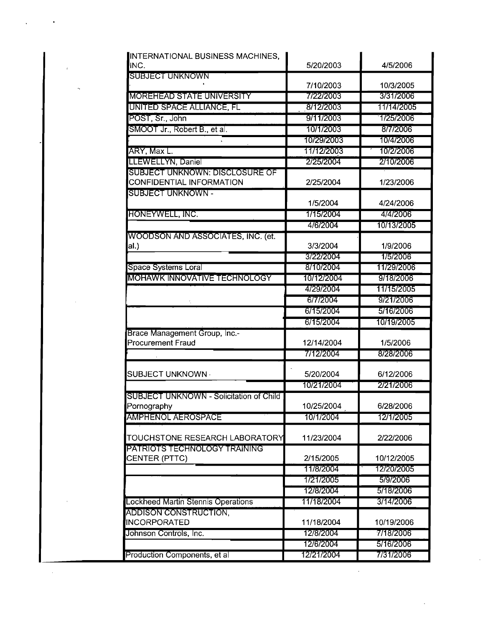| INTERNATIONAL BUSINESS MACHINES,<br>INC.  | 5/20/2003               | 4/5/2006               |
|-------------------------------------------|-------------------------|------------------------|
| SUBJECT UNKNOWN                           |                         |                        |
|                                           | 7/10/2003               | 10/3/2005              |
| <b>MOREHEAD STATE UNIVERSITY</b>          | 7/22/2003               | 3/31/2006              |
| UNITED SPACE ALLIANCE, FL                 | 8/12/2003               | 11/14/2005             |
| POST, Sr., John                           | 9/11/2003               | 1/25/2006              |
| SMOOT Jr., Robert B., et al.              | 10/1/2003               | 8/7/2006               |
|                                           | 10/29/2003              | 10/4/2006              |
| ARY, Max L.                               | 11/12/2003              | 10/2/2006              |
| LLEWELLYN, Daniel                         | 2/25/2004               | 2/10/2006              |
| <b>SUBJECT UNKNOWN: DISCLOSURE OF</b>     |                         |                        |
| CONFIDENTIAL INFORMATION                  | 2/25/2004               | 1/23/2006              |
| SUBJECT UNKNOWN -                         |                         |                        |
|                                           | 1/5/2004                | 4/24/2006              |
| HONEYWELL, INC.                           | 1/15/2004               | 4/4/2006               |
|                                           | 4/6/2004                | 10/13/2005             |
| WOODSON AND ASSOCIATES, INC. (et.         |                         |                        |
| al.)                                      | 3/3/2004<br>3/22/2004   | 1/9/2006<br>1/5/2006   |
| Space Systems Loral                       | 8/10/2004               | 11/29/2006             |
| <b>MOHAWK INNOVATIVE TECHNOLOGY</b>       | 10/12/2004              | 9/18/2006              |
|                                           | 4/29/2004               | 11715/2005             |
|                                           | 6/7/2004                | 9/21/2006              |
|                                           | 6/15/2004               | 5/16/2006              |
|                                           |                         |                        |
|                                           | 6/15/2004               | 10/19/2005             |
| Brace Management Group, Inc.-             |                         |                        |
| <b>Procurement Fraud</b>                  | 12/14/2004              | 1/5/2006               |
|                                           | 7/12/2004               | 8/28/2006              |
|                                           |                         |                        |
| SUBJECT UNKNOWN ·                         | 5/20/2004               | 6/12/2006              |
|                                           | 10/21/2004              | 2/21/2006              |
| SUBJECT UNKNOWN - Solicitation of Child   |                         |                        |
| Pornography                               | 10/25/2004              | 6/28/2006              |
| <b>AMPHENOL AEROSPACE</b>                 | 10/1/2004               | 12/1/2005              |
| TOUCHSTONE RESEARCH LABORATORY            | 11/23/2004              | 2/22/2006              |
| PATRIOTS TECHNOLOGY TRAINING              |                         |                        |
| CENTER (PTTC)                             | 2/15/2005               | 10/12/2005             |
|                                           | 11/8/2004               | 12/20/2005             |
|                                           | 1/21/2005               | 5/9/2006               |
|                                           | 12/8/2004               | 5/18/2006              |
| <b>Lockheed Martin Stennis Operations</b> | 11/18/2004              | 3/14/2006              |
| ADDISON CONSTRUCTION,                     |                         |                        |
| <b>INCORPORATED</b>                       | 11/18/2004              | 10/19/2006             |
| Johnson Controls, Inc.                    | 12/8/2004               | 7/18/2006              |
| Production Components, et al              | 12/6/2004<br>12/21/2004 | 5/16/2006<br>7/31/2006 |

 $\hat{\mathcal{A}}$ 

 $\bar{L}$ 

 $\hat{\mathcal{A}}$ 

 $\cdot$ 

 $\hat{\mathcal{A}}$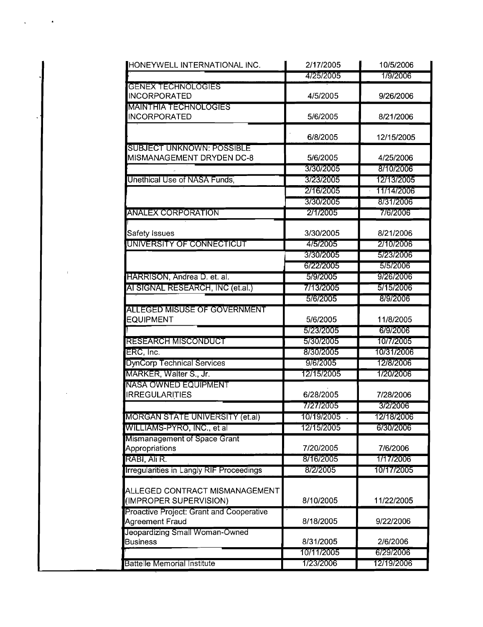| HONEYWELL INTERNATIONAL INC.             | 2/17/2005   | 10/5/2006  |
|------------------------------------------|-------------|------------|
|                                          | 4/25/2005   | 1/9/2006   |
| <b>GENEX TECHNOLOGIES</b>                |             |            |
| <b>INCORPORATED</b>                      | 4/5/2005    | 9/26/2006  |
| <b>MAINTHIA TECHNOLOGIES</b>             |             |            |
| <b>INCORPORATED</b>                      | 5/6/2005    | 8/21/2006  |
|                                          | 6/8/2005    | 12/15/2005 |
| <b>SUBJECT UNKNOWN: POSSIBLE</b>         |             |            |
| MISMANAGEMENT DRYDEN DC-8                | 5/6/2005    | 4/25/2006  |
|                                          | 3/30/2005   | 8/10/2006  |
| Unethical Use of NASA Funds,             | 3/23/2005   | 12/13/2005 |
|                                          | 2/16/2005   | 11/14/2006 |
|                                          | 3/30/2005   | 8/31/2006  |
| ANALEX CORPORATION                       | 2/1/2005    | 7/6/2006   |
|                                          |             |            |
| Safety Issues                            | 3/30/2005   | 8/21/2006  |
| UNIVERSITY OF CONNECTICUT                | 4/5/2005    | 2/10/2006  |
|                                          | 3/30/2005   | 5/23/2006  |
|                                          | 6/22/2005   | 5/5/2006   |
| HARRISON, Andrea D. et. al.              | 5/9/2005    | 9/26/2006  |
| AI SIGNAL RESEARCH, INC (et.al.)         | 7/13/2005   | 5/15/2006  |
|                                          | 5/6/2005    | 8/9/2006   |
| ALLEGED MISUSE OF GOVERNMENT             |             |            |
| <b>EQUIPMENT</b>                         | 5/6/2005    | 11/8/2005  |
|                                          | 5/23/2005   | 6/9/2006   |
| RESEARCH MISCONDUCT                      | 5/30/2005   | 10/7/2005  |
| ERC, Inc.                                | 8/30/2005   | 10/31/2006 |
| <b>DynCorp Technical Services</b>        | 9/6/2005    | 12/8/2006  |
| MARKER, Walter S., Jr.                   | 12/15/2005  | 1/20/2006  |
| NASA OWNED EQUIPMENT                     |             |            |
| <b>IRREGULARITIES</b>                    | 6/28/2005   | 7/28/2006  |
|                                          | 7/27/2005   | 3/2/2006   |
| MORGAN STATE UNIVERSITY (et.al)          | 10/19/2005. | 12/18/2006 |
| WILLIAMS-PYRO, INC., et al               | 12/15/2005  | 6/30/2006  |
| Mismanagement of Space Grant             |             |            |
| Appropriations                           | 7/20/2005   | 7/6/2006   |
| RABI, Ali R.                             | 8/16/2005   | 1/17/2006  |
| Irregularities in Langly RIF Proceedings | 8/2/2005    | 10/17/2005 |
| ALLEGED CONTRACT MISMANAGEMENT           |             |            |
| (IMPROPER SUPERVISION)                   | 8/10/2005   | 11/22/2005 |
| Proactive Project: Grant and Cooperative |             |            |
| Agreement Fraud                          | 8/18/2005   | 9/22/2006  |
| Jeopardizing Small Woman-Owned           |             |            |
| <b>Business</b>                          | 8/31/2005   | 2/6/2006   |
|                                          | 10/11/2005  | 6/29/2006  |
| <b>Battelle Memorial Institute</b>       | 1/23/2006   | 12/19/2006 |
|                                          |             |            |

 $\bar{t}$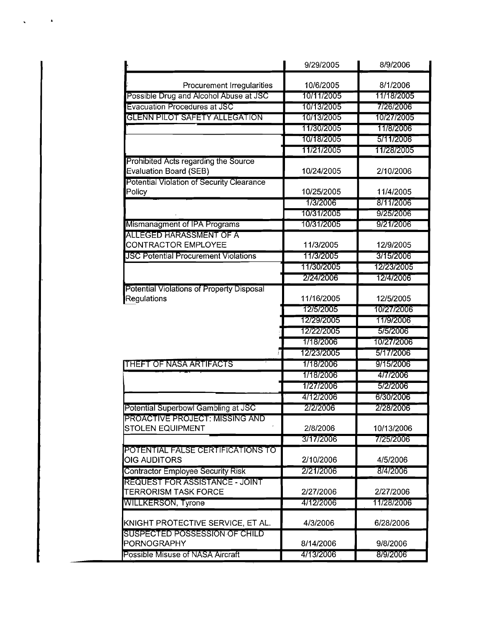|                                                          | 9/29/2005              | 8/9/2006                |
|----------------------------------------------------------|------------------------|-------------------------|
| Procurement Irregularities                               | 10/6/2005              | 8/1/2006                |
| Possible Drug and Alcohol Abuse at JSC                   | 10/11/2005             | 11/18/2005              |
| <b>Evacuation Procedures at JSC</b>                      | 10/13/2005             | 7/26/2006               |
| GLENN PILOT SAFETY ALLEGATION                            | 10/13/2005             | 10/27/2005              |
|                                                          | 11/30/2005             | 11/8/2006               |
|                                                          | 10/18/2005             | 5/11/2006               |
|                                                          | 11/21/2005             | 11/28/2005              |
| Prohibited Acts regarding the Source                     |                        |                         |
| <b>Evaluation Board (SEB)</b>                            | 10/24/2005             | 2/10/2006               |
| Potential Violation of Security Clearance                |                        |                         |
| Policy                                                   | 10/25/2005             | 11/4/2005               |
|                                                          | 1/3/2006               | 8/11/2006               |
|                                                          | 10/31/2005             | 9/25/2006               |
| Mismanagment of IPA Programs                             | 10/31/2005             | 9/21/2006               |
| ALLEGED HARASSMENT OF A                                  |                        |                         |
| CONTRACTOR EMPLOYEE                                      | 11/3/2005              | 12/9/2005               |
| <b>JSC Potential Procurement Violations</b>              | 11/3/2005              | 3/15/2006               |
|                                                          | 11/30/2005             | 12/23/2005              |
|                                                          | 2/24/2006              | 12/4/2006               |
| Potential Violations of Property Disposal<br>Regulations | 11/16/2005             | 12/5/2005               |
|                                                          | 12/5/2005              | 10/27/2006              |
|                                                          | 12/29/2005             | 11/9/2006               |
|                                                          | 12/22/2005             | 5/5/2006                |
|                                                          | 1/18/2006              | 10/27/2006              |
|                                                          | 12/23/2005             | 5/17/2006               |
| THEFT OF NASA ARTIFACTS                                  | 1/18/2006              | 9/15/2006               |
|                                                          | 1/18/2006              | 4/7/2006                |
|                                                          | 1/27/2006              | 5/2/2006                |
|                                                          | 4/12/2006              | 6/30/2006               |
| Potential Superbowl Gambling at JSC                      | 2/2/2006               | 2/28/2006               |
| <b>PROACTIVE PROJECT: MISSING AND</b>                    |                        |                         |
| <b>STOLEN EQUIPMENT</b>                                  | 2/8/2006               | 10/13/2006              |
|                                                          | 3/17/2006              | 7/25/2006               |
| POTENTIAL FALSE CERTIFICATIONS TO                        |                        |                         |
| <b>OIG AUDITORS</b>                                      | 2/10/2006              | 4/5/2006                |
| Contractor Employee Security Risk                        | 2/21/2006              | 8/4/2006                |
| <b>REQUEST FOR ASSISTANCE - JOINT</b>                    |                        |                         |
| <b>TERRORISM TASK FORCE</b><br><b>WILLKERSON, Tyrone</b> | 2/27/2006<br>4/12/2006 | 2/27/2006<br>11/28/2006 |
|                                                          |                        |                         |
| KNIGHT PROTECTIVE SERVICE, ET AL.                        | 4/3/2006               | 6/28/2006               |
| SUSPECTED POSSESSION OF CHILD                            |                        |                         |
| PORNOGRAPHY                                              | 8/14/2006              | 9/8/2006                |
| Possible Misuse of NASA Aircraft                         | 4/13/2006              | 8/9/2006                |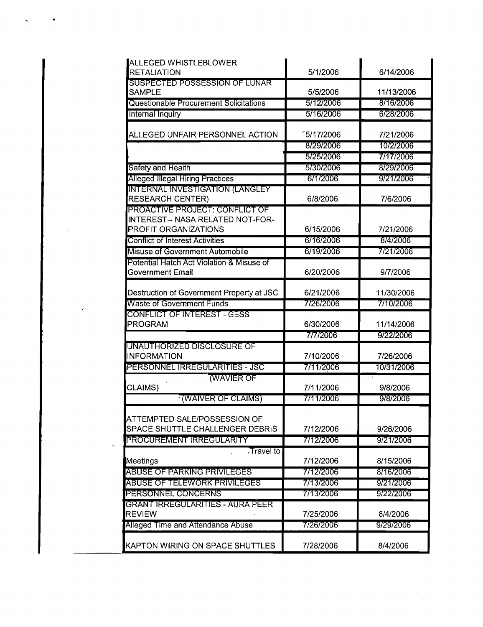| ALLEGED WHISTLEBLOWER                                                         |                      |            |
|-------------------------------------------------------------------------------|----------------------|------------|
| RETALIATION                                                                   | 5/1/2006             | 6/14/2006  |
| SUSPECTED POSSESSION OF LUNAR<br><b>SAMPLE</b>                                | 5/5/2006             | 11/13/2006 |
| Questionable Procurement Solicitations                                        | 5/12/2006            | 8/16/2006  |
| Internal Inquiry                                                              | 5/16/2006            | 6/28/2006  |
|                                                                               |                      |            |
| ALLEGED UNFAIR PERSONNEL ACTION                                               | <sup>5/17/2006</sup> | 7/21/2006  |
|                                                                               | 8/29/2006            | 10/2/2006  |
|                                                                               | 5/25/2006            | 7/17/2006  |
| Safety and Health                                                             | 5/30/2006            | 8/29/2006  |
| <b>Alleged Illegal Hiring Practices</b>                                       | 6/1/2006             | 9/21/2006  |
| <b>INTERNAL INVESTIGATION (LANGLEY</b><br><b>RESEARCH CENTER)</b>             | 6/8/2006             | 7/6/2006   |
| PROACTIVE PROJECT: CONFLICT OF                                                |                      |            |
| <b>INTEREST-- NASA RELATED NOT-FOR-</b>                                       |                      |            |
| PROFIT ORGANIZATIONS                                                          | 6/15/2006            | 7/21/2006  |
| <b>Conflict of Interest Activities</b>                                        | 6/16/2006            | 8/4/2006   |
| Misuse of Government Automobile                                               | 6/19/2006            | 7/21/2006  |
| Potential Hatch Act Violation & Misuse of                                     |                      |            |
| Government Email                                                              | 6/20/2006            | 9/7/2006   |
| Destruction of Government Property at JSC                                     | 6/21/2006            | 11/30/2006 |
| <b>Waste of Government Funds</b>                                              | 7/26/2006            | 7/10/2006  |
| CONFLICT OF INTEREST - GESS                                                   |                      |            |
| PROGRAM                                                                       | 6/30/2006            | 11/14/2006 |
|                                                                               | 7/7/2006             | 9/22/2006  |
| UNAUTHORIZED DISCLOSURE OF                                                    |                      |            |
| <b>INFORMATION</b>                                                            | 7/10/2006            | 7/26/2006  |
| PERSONNEL IRREGULARITIES - JSC                                                | 7/11/2006            | 10/31/2006 |
| <b>WAVIER OF</b><br>CLAIMS)                                                   | 7/11/2006            | 9/8/2006   |
| <b>WAIVER OF CLAIMS</b>                                                       | 7/11/2006            | 9/8/2006   |
| <b>ATTEMPTED SALE/POSSESSION OF</b><br><b>SPACE SHUTTLE CHALLENGER DEBRIS</b> | 7/12/2006            | 9/26/2006  |
| PROCUREMENT IRREGULARITY                                                      | 7/12/2006            | 9/21/2006  |
| Travel to<br>Meetings                                                         | 7/12/2006            | 8/15/2006  |
| <b>ABUSE OF PARKING PRIVILEGES</b>                                            | 7/12/2006            | 8/16/2006  |
| ABUSE OF TELEWORK PRIVILEGES                                                  | 7/13/2006            | 9/21/2006  |
| PERSONNEL CONCERNS                                                            | 7/13/2006            | 9/22/2006  |
| GRANT IRREGULARITIES - AURA PEER                                              |                      |            |
| <b>REVIEW</b>                                                                 | 7/25/2006            | 8/4/2006   |
| Alleged Time and Attendance Abuse                                             | 7/26/2006            | 9/29/2006  |
| KAPTON WIRING ON SPACE SHUTTLES                                               | 7/28/2006            | 8/4/2006   |

 $\varphi_{\mathbf{r}}$